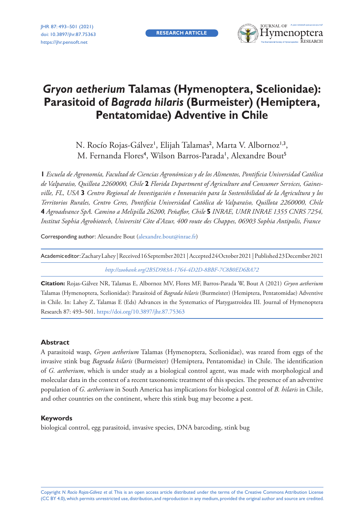**RESEARCH ARTICLE**



# *Gryon aetherium* **Talamas (Hymenoptera, Scelionidae): Parasitoid of** *Bagrada hilaris* **(Burmeister) (Hemiptera, Pentatomidae) Adventive in Chile**

N. Rocío Rojas-Gálvez<sup>i</sup>, Elijah Talamas<sup>2</sup>, Marta V. Albornoz<sup>i,3</sup>, M. Fernanda Flores<sup>4</sup>, Wilson Barros-Parada', Alexandre Bout<sup>5</sup>

**1** *Escuela de Agronomía, Facultad de Ciencias Agronómicas y de los Alimentos, Pontificia Universidad Católica de Valparaíso, Quillota 2260000, Chile* **2** *Florida Department of Agriculture and Consumer Services, Gainesville, FL, USA* **3** *Centro Regional de Investigación e Innovación para la Sostenibilidad de la Agricultura y los Territorios Rurales, Centro Ceres, Pontificia Universidad Católica de Valparaíso, Quillota 2260000, Chile*  **4** *Agroadvance SpA. Camino a Melipilla 26200, Peñaflor, Chile* **5** *INRAE, UMR INRAE 1355 CNRS 7254, Institut Sophia Agrobiotech, Université Côte d'Azur, 400 route des Chappes, 06903 Sophia Antipolis, France*

Corresponding author: Alexandre Bout [\(alexandre.bout@inrae.fr](mailto:alexandre.bout@inrae.fr))

*<http://zoobank.org/2B5D983A-1764-4D2D-8BBF-7C8B0ED6BA72>*

**Citation:** Rojas-Gálvez NR, Talamas E, Albornoz MV, Flores MF, Barros-Parada W, Bout A (2021) *Gryon aetherium* Talamas (Hymenoptera, Scelionidae): Parasitoid of *Bagrada hilaris* (Burmeister) (Hemiptera, Pentatomidae) Adventive in Chile. In: Lahey Z, Talamas E (Eds) Advances in the Systematics of Platygastroidea III. Journal of Hymenoptera Research 87: 493–501.<https://doi.org/10.3897/jhr.87.75363>

#### **Abstract**

A parasitoid wasp, *Gryon aetherium* Talamas (Hymenoptera, Scelionidae), was reared from eggs of the invasive stink bug *Bagrada hilaris* (Burmeister) (Hemiptera, Pentatomidae) in Chile. The identification of *G. aetherium*, which is under study as a biological control agent, was made with morphological and molecular data in the context of a recent taxonomic treatment of this species. The presence of an adventive population of *G. aetherium* in South America has implications for biological control of *B. hilaris* in Chile, and other countries on the continent, where this stink bug may become a pest.

#### **Keywords**

biological control, egg parasitoid, invasive species, DNA barcoding, stink bug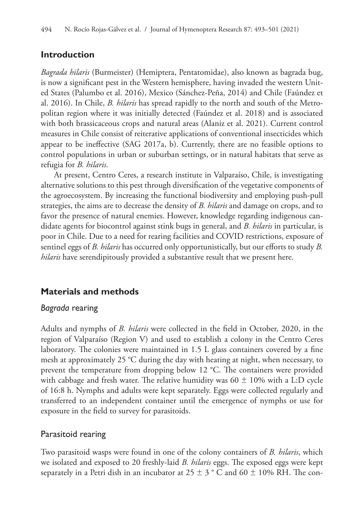# **Introduction**

*Bagrada hilaris* (Burmeister) (Hemiptera, Pentatomidae), also known as bagrada bug, is now a significant pest in the Western hemisphere, having invaded the western United States (Palumbo et al. 2016), Mexico (Sánchez-Peña, 2014) and Chile (Faúndez et al. 2016). In Chile, *B. hilaris* has spread rapidly to the north and south of the Metropolitan region where it was initially detected (Faúndez et al. 2018) and is associated with both brassicaceous crops and natural areas (Alaniz et al. 2021). Current control measures in Chile consist of reiterative applications of conventional insecticides which appear to be ineffective (SAG 2017a, b). Currently, there are no feasible options to control populations in urban or suburban settings, or in natural habitats that serve as refugia for *B. hilaris*.

At present, Centro Ceres, a research institute in Valparaíso, Chile, is investigating alternative solutions to this pest through diversification of the vegetative components of the agroecosystem. By increasing the functional biodiversity and employing push-pull strategies, the aims are to decrease the density of *B. hilaris* and damage on crops, and to favor the presence of natural enemies. However, knowledge regarding indigenous candidate agents for biocontrol against stink bugs in general, and *B. hilaris* in particular, is poor in Chile. Due to a need for rearing facilities and COVID restrictions, exposure of sentinel eggs of *B. hilaris* has occurred only opportunistically, but our efforts to study *B. hilaris* have serendipitously provided a substantive result that we present here.

# **Materials and methods**

## *Bagrada* rearing

Adults and nymphs of *B. hilaris* were collected in the field in October, 2020, in the region of Valparaíso (Region V) and used to establish a colony in the Centro Ceres laboratory. The colonies were maintained in 1.5 L glass containers covered by a fine mesh at approximately 25 °C during the day with heating at night, when necessary, to prevent the temperature from dropping below 12 °C. The containers were provided with cabbage and fresh water. The relative humidity was  $60 \pm 10\%$  with a L:D cycle of 16:8 h. Nymphs and adults were kept separately. Eggs were collected regularly and transferred to an independent container until the emergence of nymphs or use for exposure in the field to survey for parasitoids.

# Parasitoid rearing

Two parasitoid wasps were found in one of the colony containers of *B. hilaris*, which we isolated and exposed to 20 freshly-laid *B. hilaris* eggs. The exposed eggs were kept separately in a Petri dish in an incubator at 25  $\pm$  3 ° C and 60  $\pm$  10% RH. The con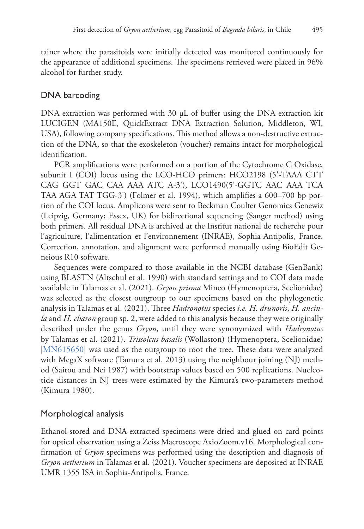tainer where the parasitoids were initially detected was monitored continuously for the appearance of additional specimens. The specimens retrieved were placed in 96% alcohol for further study.

# DNA barcoding

DNA extraction was performed with 30  $\mu$ L of buffer using the DNA extraction kit LUCIGEN (MA150E, QuickExtract DNA Extraction Solution, Middleton, WI, USA), following company specifications. This method allows a non-destructive extraction of the DNA, so that the exoskeleton (voucher) remains intact for morphological identification.

PCR amplifications were performed on a portion of the Cytochrome C Oxidase, subunit I (COI) locus using the LCO-HCO primers: HCO2198 (5'-TAAA CTT CAG GGT GAC CAA AAA ATC A-3'), LCO1490(5'-GGTC AAC AAA TCA TAA AGA TAT TGG-3') (Folmer et al. 1994), which amplifies a 600–700 bp portion of the COI locus. Amplicons were sent to Beckman Coulter Genomics Genewiz (Leipzig, Germany; Essex, UK) for bidirectional sequencing (Sanger method) using both primers. All residual DNA is archived at the Institut national de recherche pour l'agriculture, l'alimentation et l'environnement (INRAE), Sophia-Antipolis, France. Correction, annotation, and alignment were performed manually using BioEdit Geneious R10 software.

Sequences were compared to those available in the NCBI database (GenBank) using BLASTN (Altschul et al. 1990) with standard settings and to COI data made available in Talamas et al. (2021). *Gryon prisma* Mineo (Hymenoptera, Scelionidae) was selected as the closest outgroup to our specimens based on the phylogenetic analysis in Talamas et al. (2021). Three *Hadronotus* species *i.e. H. drunoris*, *H. ancinla* and *H. charon* group sp. 2, were added to this analysis because they were originally described under the genus *Gryon*, until they were synonymized with *Hadronotus* by Talamas et al. (2021). *Trissolcus basalis* (Wollaston) (Hymenoptera, Scelionidae) [|MN615650|](http://www.ncbi.nlm.nih.gov/nuccore/MN615650) was used as the outgroup to root the tree. These data were analyzed with MegaX software (Tamura et al. 2013) using the neighbour joining (NJ) method (Saitou and Nei 1987) with bootstrap values based on 500 replications. Nucleotide distances in NJ trees were estimated by the Kimura's two-parameters method (Kimura 1980).

## Morphological analysis

Ethanol-stored and DNA-extracted specimens were dried and glued on card points for optical observation using a Zeiss Macroscope AxioZoom.v16. Morphological confirmation of *Gryon* specimens was performed using the description and diagnosis of *Gryon aetherium* in Talamas et al. (2021). Voucher specimens are deposited at INRAE UMR 1355 ISA in Sophia-Antipolis, France.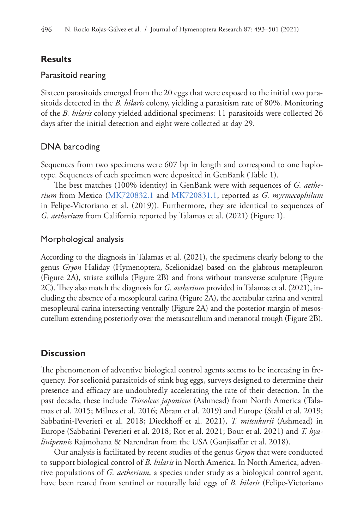## **Results**

#### Parasitoid rearing

Sixteen parasitoids emerged from the 20 eggs that were exposed to the initial two parasitoids detected in the *B. hilaris* colony, yielding a parasitism rate of 80%. Monitoring of the *B. hilaris* colony yielded additional specimens: 11 parasitoids were collected 26 days after the initial detection and eight were collected at day 29.

#### DNA barcoding

Sequences from two specimens were 607 bp in length and correspond to one haplotype. Sequences of each specimen were deposited in GenBank (Table 1).

The best matches (100% identity) in GenBank were with sequences of *G. aetherium* from Mexico ([MK720832.1](http://www.ncbi.nlm.nih.gov/nuccore/MK720832.1) and [MK720831.1](http://www.ncbi.nlm.nih.gov/nuccore/MK720831.1), reported as *G. myrmecophilum* in Felipe-Victoriano et al. (2019)). Furthermore, they are identical to sequences of *G. aetherium* from California reported by Talamas et al. (2021) (Figure 1).

#### Morphological analysis

According to the diagnosis in Talamas et al. (2021), the specimens clearly belong to the genus *Gryon* Haliday (Hymenoptera, Scelionidae) based on the glabrous metapleuron (Figure 2A), striate axillula (Figure 2B) and frons without transverse sculpture (Figure 2C). They also match the diagnosis for *G. aetherium* provided in Talamas et al. (2021), including the absence of a mesopleural carina (Figure 2A), the acetabular carina and ventral mesopleural carina intersecting ventrally (Figure 2A) and the posterior margin of mesoscutellum extending posteriorly over the metascutellum and metanotal trough (Figure 2B).

## **Discussion**

The phenomenon of adventive biological control agents seems to be increasing in frequency. For scelionid parasitoids of stink bug eggs, surveys designed to determine their presence and efficacy are undoubtedly accelerating the rate of their detection. In the past decade, these include *Trissolcus japonicus* (Ashmead) from North America (Talamas et al. 2015; Milnes et al. 2016; Abram et al. 2019) and Europe (Stahl et al. 2019; Sabbatini-Peverieri et al. 2018; Dieckhoff et al. 2021), *T. mitsukurii* (Ashmead) in Europe (Sabbatini-Peverieri et al. 2018; Rot et al. 2021; Bout et al. 2021) and *T. hyalinipennis* Rajmohana & Narendran from the USA (Ganjisaffar et al. 2018).

Our analysis is facilitated by recent studies of the genus *Gryon* that were conducted to support biological control of *B. hilaris* in North America. In North America, adventive populations of *G. aetherium*, a species under study as a biological control agent, have been reared from sentinel or naturally laid eggs of *B*. *hilaris* (Felipe-Victoriano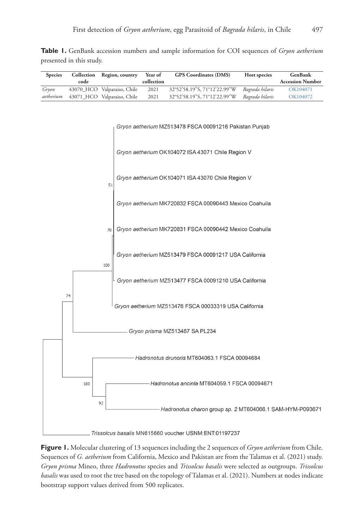**Table 1.** GenBank accession numbers and sample information for COI sequences of *Gryon aetherium* presented in this study.

| Species                        | Collection | Region, country             | Year of    | <b>GPS</b> Coordinates (DMS)                             | Host species    | GenBank                 |
|--------------------------------|------------|-----------------------------|------------|----------------------------------------------------------|-----------------|-------------------------|
|                                | code       |                             | collection |                                                          |                 | <b>Accession Number</b> |
| Gryon                          |            | 43070_HCO Valparaiso, Chile | 2021       | 32°52'58.19"S, 71°12'22.99"W                             | Bagrada hilaris | OK104071                |
| aetherium                      |            | 43071_HCO Valparaiso, Chile | 2021       | 32°52'58.19"S, 71°12'22.99"W                             | Bagrada hilaris | OK104072                |
|                                |            |                             |            | Gryon aetherium MZ513478 FSCA 00091216 Pakistan Punjab   |                 |                         |
|                                |            |                             |            | Gryon aetherium OK104072 ISA 43071 Chile Region V        |                 |                         |
|                                |            | 51                          |            | Gryon aetherium OK104071 ISA 43070 Chile Region V        |                 |                         |
|                                |            |                             |            | Gryon aetherium MK720832 FSCA 00090443 Mexico Coahuila   |                 |                         |
|                                |            | 70                          |            | Gryon aetherium MK720831 FSCA 00090442 Mexico Coahuila   |                 |                         |
|                                |            | 100                         |            | Gryon aetherium MZ513479 FSCA 00091217 USA California    |                 |                         |
|                                | 74         |                             |            | Gryon aetherium MZ513477 FSCA 00091210 USA California    |                 |                         |
|                                |            |                             |            | Gryon aetherium MZ513476 FSCA 00033319 USA California    |                 |                         |
| Gryon prisma MZ513487 SA PL234 |            |                             |            |                                                          |                 |                         |
|                                |            |                             |            | Hadronotus drunoris MT604063.1 FSCA 00094684             |                 |                         |
|                                | 100        | 92                          |            | Hadronotus ancinla MT604059.1 FSCA 00094671              |                 |                         |
|                                |            |                             |            | Hadronotus charon group sp. 2 MT604066.1 SAM-HYM-P093671 |                 |                         |

\_Trissolcus basalis MN615660 voucher USNM:ENT:01197237

**Figure 1.** Molecular clustering of 13 sequences including the 2 sequences of *Gryon aetherium* from Chile. Sequences of *G. aetherium* from California, Mexico and Pakistan are from the Talamas et al. (2021) study. *Gryon prisma* Mineo, three *Hadronotus* species and *Trissolcus basalis* were selected as outgroups. *Trissolcus basalis* was used to root the tree based on the topology of Talamas et al. (2021). Numbers at nodes indicate bootstrap support values derived from 500 replicates.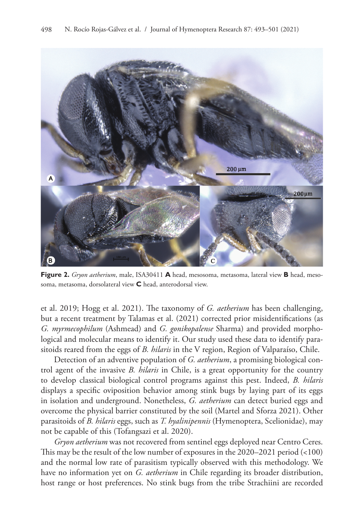

**Figure 2.** *Gryon aetherium*, male, ISA30411 **A** head, mesosoma, metasoma, lateral view **B** head, mesosoma, metasoma, dorsolateral view **C** head, anterodorsal view.

et al. 2019; Hogg et al. 2021). The taxonomy of *G. aetherium* has been challenging, but a recent treatment by Talamas et al. (2021) corrected prior misidentifications (as *G. myrmecophilum* (Ashmead) and *G. gonikopalense* Sharma) and provided morphological and molecular means to identify it. Our study used these data to identify parasitoids reared from the eggs of *B. hilaris* in the V region, Region of Valparaíso, Chile.

Detection of an adventive population of *G. aetherium*, a promising biological control agent of the invasive *B. hilaris* in Chile, is a great opportunity for the country to develop classical biological control programs against this pest. Indeed, *B. hilaris* displays a specific oviposition behavior among stink bugs by laying part of its eggs in isolation and underground. Nonetheless, *G. aetherium* can detect buried eggs and overcome the physical barrier constituted by the soil (Martel and Sforza 2021). Other parasitoids of *B. hilaris* eggs, such as *T. hyalinipennis* (Hymenoptera, Scelionidae), may not be capable of this (Tofangsazi et al. 2020).

*Gryon aetherium* was not recovered from sentinel eggs deployed near Centro Ceres. This may be the result of the low number of exposures in the 2020–2021 period (<100) and the normal low rate of parasitism typically observed with this methodology. We have no information yet on *G. aetherium* in Chile regarding its broader distribution, host range or host preferences. No stink bugs from the tribe Strachiini are recorded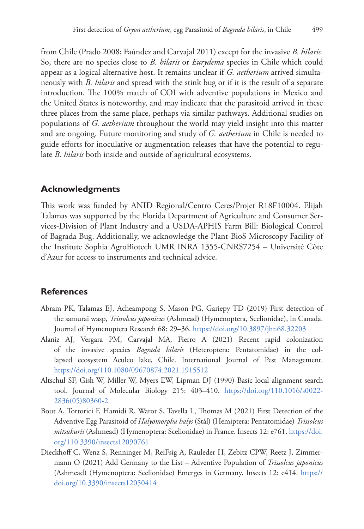from Chile (Prado 2008; Faúndez and Carvajal 2011) except for the invasive *B. hilaris*. So, there are no species close to *B. hilaris* or *Eurydema* species in Chile which could appear as a logical alternative host. It remains unclear if *G. aetherium* arrived simultaneously with *B. hilaris* and spread with the stink bug or if it is the result of a separate introduction. The 100% match of COI with adventive populations in Mexico and the United States is noteworthy, and may indicate that the parasitoid arrived in these three places from the same place, perhaps via similar pathways. Additional studies on populations of *G. aetherium* throughout the world may yield insight into this matter and are ongoing. Future monitoring and study of *G. aetherium* in Chile is needed to guide efforts for inoculative or augmentation releases that have the potential to regulate *B. hilaris* both inside and outside of agricultural ecosystems.

#### **Acknowledgments**

This work was funded by ANID Regional/Centro Ceres/Projet R18F10004. Elijah Talamas was supported by the Florida Department of Agriculture and Consumer Services-Division of Plant Industry and a USDA-APHIS Farm Bill: Biological Control of Bagrada Bug. Additionally, we acknowledge the Plant-BioS Microscopy Facility of the Institute Sophia AgroBiotech UMR INRA 1355-CNRS7254 – Université Côte d'Azur for access to instruments and technical advice.

#### **References**

- Abram PK, Talamas EJ, Acheampong S, Mason PG, Gariepy TD (2019) First detection of the samurai wasp, *Trissolcus japonicus* (Ashmead) (Hymenoptera, Scelionidae), in Canada. Journal of Hymenoptera Research 68: 29–36. <https://doi.org/10.3897/jhr.68.32203>
- Alaniz AJ, Vergara PM, Carvajal MA, Fierro A (2021) Recent rapid colonization of the invasive species *Bagrada hilaris* (Heteroptera: Pentatomidae) in the collapsed ecosystem Aculeo lake, Chile. International Journal of Pest Management. <https://doi.org/110.1080/09670874.2021.1915512>
- Altschul SF, Gish W, Miller W, Myers EW, Lipman DJ (1990) Basic local alignment search tool. Journal of Molecular Biology 215: 403–410. [https://doi.org/110.1016/s0022-](https://doi.org/110.1016/s0022-2836(05)80360-2) [2836\(05\)80360-2](https://doi.org/110.1016/s0022-2836(05)80360-2)
- Bout A, Tortorici F, Hamidi R, Warot S, Tavella L, Thomas M (2021) First Detection of the Adventive Egg Parasitoid of *Halyomorpha halys* (Stål) (Hemiptera: Pentatomidae) *Trissolcus mitsukurii* (Ashmead) (Hymenoptera: Scelionidae) in France. Insects 12: e761. [https://doi.](https://doi.org/110.3390/insects12090761) [org/110.3390/insects12090761](https://doi.org/110.3390/insects12090761)
- Dieckhoff C, Wenz S, Renninger M, ReiFsig A, Rauleder H, Zebitz CPW, Reetz J, Zimmermann O (2021) Add Germany to the List – Adventive Population of *Trissolcus japonicus*  (Ashmead) (Hymenoptera: Scelionidae) Emerges in Germany. Insects 12: e414. [https://](https://doi.org/10.3390/insects12050414) [doi.org/10.3390/insects12050414](https://doi.org/10.3390/insects12050414)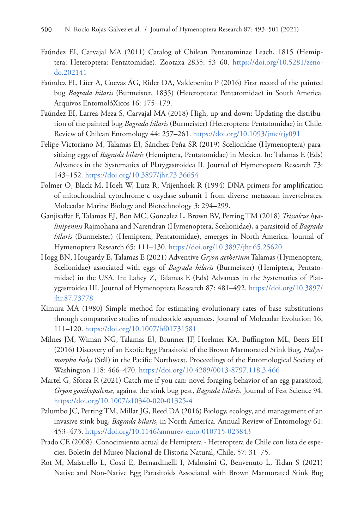- Faúndez EI, Carvajal MA (2011) Catalog of Chilean Pentatominae Leach, 1815 (Hemiptera: Heteroptera: Pentatomidae). Zootaxa 2835: 53–60. [https://doi.org/10.5281/zeno](https://doi.org/10.5281/zenodo.202141)[do.202141](https://doi.org/10.5281/zenodo.202141)
- Faúndez EI, Lüer A, Cuevas ÁG, Rider DA, Valdebenito P (2016) First record of the painted bug *Bagrada hilaris* (Burmeister, 1835) (Heteroptera: Pentatomidae) in South America. Arquivos EntomolóXicos 16: 175–179.
- Faúndez EI, Larrea-Meza S, Carvajal MA (2018) High, up and down: Updating the distribution of the painted bug *Bagrada hilaris* (Burmeister) (Heteroptera: Pentatomidae) in Chile. Review of Chilean Entomology 44: 257–261.<https://doi.org/10.1093/jme/tjy091>
- Felipe-Victoriano M, Talamas EJ, Sánchez-Peña SR (2019) Scelionidae (Hymenoptera) parasitizing eggs of *Bagrada hilaris* (Hemiptera, Pentatomidae) in Mexico. In: Talamas E (Eds) Advances in the Systematics of Platygastroidea II. Journal of Hymenoptera Research 73: 143–152.<https://doi.org/10.3897/jhr.73.36654>
- Folmer O, Black M, Hoeh W, Lutz R, Vrijenhoek R (1994) DNA primers for amplification of mitochondrial cytochrome c oxydase subunit I from diverse metazoan invertebrates. Molecular Marine Biology and Biotechnology *3*: 294–299.
- Ganjisaffar F, Talamas EJ, Bon MC, Gonzalez L, Brown BV, Perring TM (2018) *Trissolcus hyalinipennis* Rajmohana and Narendran (Hymenoptera, Scelionidae), a parasitoid of *Bagrada hilaris* (Burmeister) (Hemiptera, Pentatomidae), emerges in North America. Journal of Hymenoptera Research 65: 111–130. <https://doi.org/10.3897/jhr.65.25620>
- Hogg BN, Hougardy E, Talamas E (2021) Adventive *Gryon aetherium* Talamas (Hymenoptera, Scelionidae) associated with eggs of *Bagrada hilaris* (Burmeister) (Hemiptera, Pentatomidae) in the USA. In: Lahey Z, Talamas E (Eds) Advances in the Systematics of Platygastroidea III. Journal of Hymenoptera Research 87: 481–492. [https://doi.org/10.3897/](https://doi.org/10.3897/jhr.87.73778) [jhr.87.73778](https://doi.org/10.3897/jhr.87.73778)
- Kimura MA (1980) Simple method for estimating evolutionary rates of base substitutions through comparative studies of nucleotide sequences. Journal of Molecular Evolution 16, 111–120.<https://doi.org/10.1007/bf01731581>
- Milnes JM, Wiman NG, Talamas EJ, Brunner JF, Hoelmer KA, Buffington ML, Beers EH (2016) Discovery of an Exotic Egg Parasitoid of the Brown Marmorated Stink Bug, *Halyomorpha halys* (Stål) in the Pacific Northwest. Proceedings of the Entomological Society of Washington 118: 466–470. <https://doi.org/10.4289/0013-8797.118.3.466>
- Martel G, Sforza R (2021) Catch me if you can: novel foraging behavior of an egg parasitoid, *Gryon gonikopalense*, against the stink bug pest, *Bagrada hilaris*. Journal of Pest Science 94. <https://doi.org/10.1007/s10340-020-01325-4>
- Palumbo JC, Perring TM, Millar JG, Reed DA (2016) Biology, ecology, and management of an invasive stink bug, *Bagrada hilaris*, in North America. Annual Review of Entomology 61: 453–473.<https://doi.org/10.1146/annurev-ento-010715-023843>
- Prado CE (2008). Conocimiento actual de Hemiptera Heteroptera de Chile con lista de especies. Boletín del Museo Nacional de Historia Natural, Chile, 57: 31–75.
- Rot M, Maistrello L, Costi E, Bernardinelli I, Malossini G, Benvenuto L, Trdan S (2021) Native and Non-Native Egg Parasitoids Associated with Brown Marmorated Stink Bug